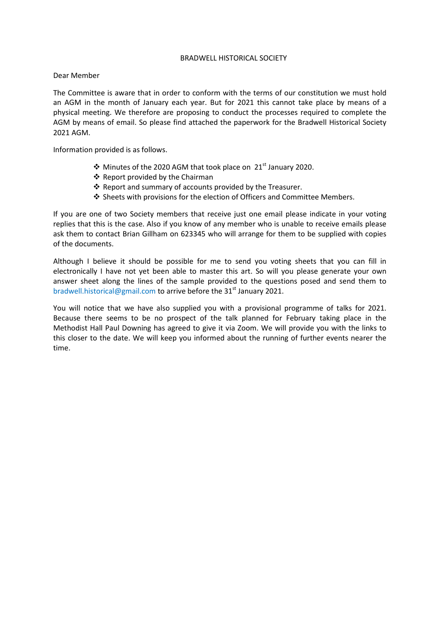## BRADWELL HISTORICAL SOCIETY

## Dear Member

The Committee is aware that in order to conform with the terms of our constitution we must hold an AGM in the month of January each year. But for 2021 this cannot take place by means of a physical meeting. We therefore are proposing to conduct the processes required to complete the AGM by means of email. So please find attached the paperwork for the Bradwell Historical Society 2021 AGM.

Information provided is as follows.

- $\cdot$  Minutes of the 2020 AGM that took place on 21st January 2020.
- ❖ Report provided by the Chairman
- \* Report and summary of accounts provided by the Treasurer.
- $\div$  Sheets with provisions for the election of Officers and Committee Members.

If you are one of two Society members that receive just one email please indicate in your voting replies that this is the case. Also if you know of any member who is unable to receive emails please ask them to contact Brian Gillham on 623345 who will arrange for them to be supplied with copies of the documents.

Although I believe it should be possible for me to send you voting sheets that you can fill in electronically I have not yet been able to master this art. So will you please generate your own answer sheet along the lines of the sample provided to the questions posed and send them to bradwell.historical@gmail.com to arrive before the  $31<sup>st</sup>$  January 2021.

You will notice that we have also supplied you with a provisional programme of talks for 2021. Because there seems to be no prospect of the talk planned for February taking place in the Methodist Hall Paul Downing has agreed to give it via Zoom. We will provide you with the links to this closer to the date. We will keep you informed about the running of further events nearer the time.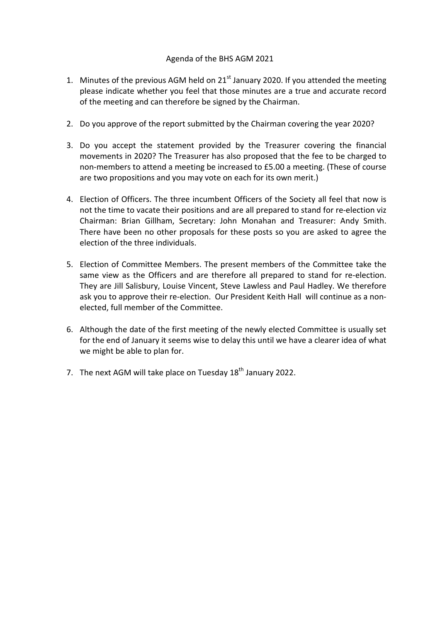## Agenda of the BHS AGM 2021

- 1. Minutes of the previous AGM held on  $21<sup>st</sup>$  January 2020. If you attended the meeting please indicate whether you feel that those minutes are a true and accurate record of the meeting and can therefore be signed by the Chairman.
- 2. Do you approve of the report submitted by the Chairman covering the year 2020?
- 3. Do you accept the statement provided by the Treasurer covering the financial movements in 2020? The Treasurer has also proposed that the fee to be charged to non-members to attend a meeting be increased to £5.00 a meeting. (These of course are two propositions and you may vote on each for its own merit.)
- 4. Election of Officers. The three incumbent Officers of the Society all feel that now is not the time to vacate their positions and are all prepared to stand for re-election viz Chairman: Brian Gillham, Secretary: John Monahan and Treasurer: Andy Smith. There have been no other proposals for these posts so you are asked to agree the election of the three individuals.
- 5. Election of Committee Members. The present members of the Committee take the same view as the Officers and are therefore all prepared to stand for re-election. They are Jill Salisbury, Louise Vincent, Steve Lawless and Paul Hadley. We therefore ask you to approve their re-election. Our President Keith Hall will continue as a nonelected, full member of the Committee.
- 6. Although the date of the first meeting of the newly elected Committee is usually set for the end of January it seems wise to delay this until we have a clearer idea of what we might be able to plan for.
- 7. The next AGM will take place on Tuesday  $18<sup>th</sup>$  January 2022.